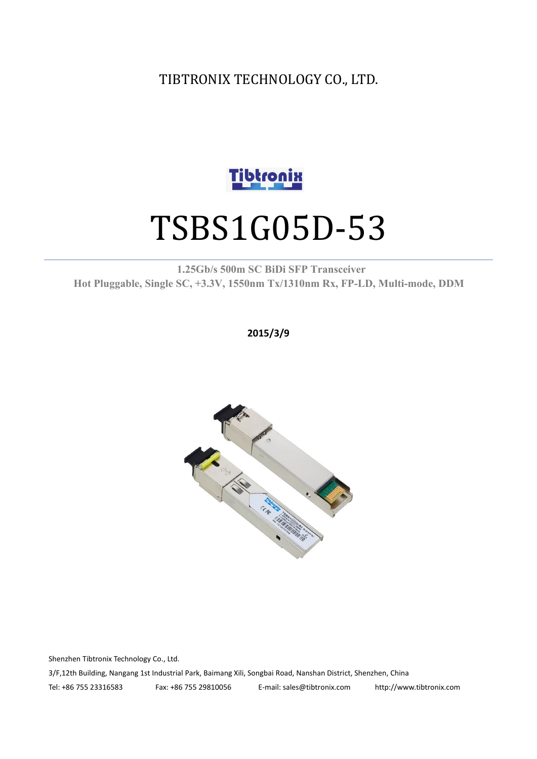TIBTRONIX TECHNOLOGY CO., LTD.



# TSBS1G05D-53

#### **1.25Gb/s 500m SC BiDi SFP Transceiver Hot Pluggable, Single SC, +3.3V, 1550nm Tx/1310nm Rx, FP-LD, Multi-mode, DDM**

**2015/3/9**



Shenzhen Tibtronix Technology Co., Ltd.

3/F,12th Building, Nangang 1st Industrial Park, Baimang Xili, Songbai Road, Nanshan District, Shenzhen, China

Tel: +86 755 23316583 Fax: +86 755 29810056 E-mail: sales@tibtronix.com http://www.tibtronix.com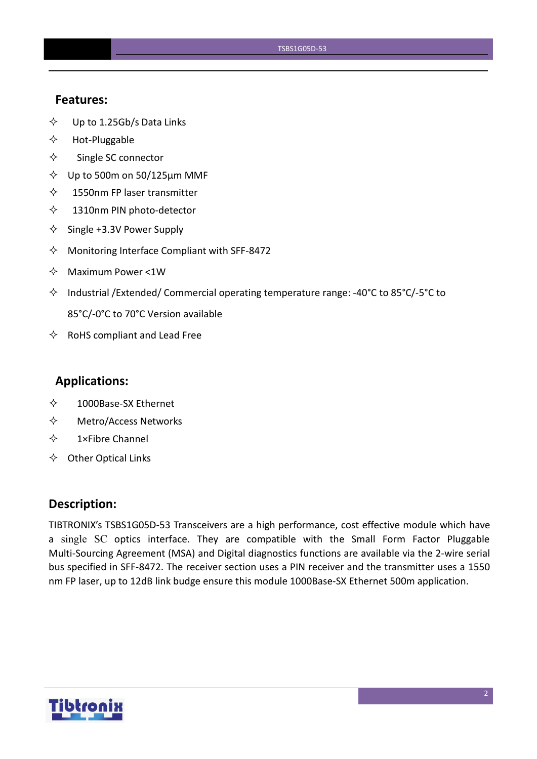#### **Features:**

- $\diamond$  Up to 1.25Gb/s Data Links
- $\Leftrightarrow$  Hot-Pluggable
- $\Leftrightarrow$  Single SC connector
- $\diamond$  Up to 500m on 50/125 $\mu$ m MMF
- $\diamond$  1550nm FP laser transmitter
- 1310nm PIN photo-detector
- $\diamond$  Single +3.3V Power Supply
- $\Diamond$  Monitoring Interface Compliant with SFF-8472
- $\Leftrightarrow$  Maximum Power <1W
- $\Diamond$  Industrial /Extended/ Commercial operating temperature range: -40°C to 85°C/-5°C to 85°C/-0°C to 70°C Version available
- $\Leftrightarrow$  RoHS compliant and Lead Free

#### **Applications:**

- 1000Base-SX Ethernet
- Metro/Access Networks
- $\diamond$  1×Fibre Channel
- $\Leftrightarrow$  Other Optical Links

#### **Description:**

TIBTRONIX's TSBS1G05D-53 Transceivers are a high performance, cost effective module which have a single SC optics interface. They are compatible with the Small Form Factor Pluggable Multi-Sourcing Agreement (MSA) and Digital diagnostics functions are available via the 2-wire serial bus specified in SFF-8472. The receiver section uses a PIN receiver and the transmitter uses a 1550 nm FP laser, up to 12dB link budge ensure this module 1000Base-SX Ethernet 500m application.

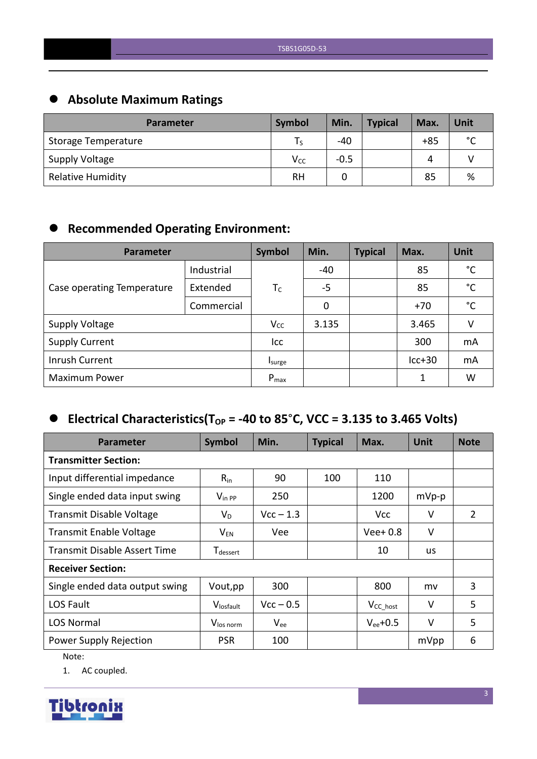# **Absolute Maximum Ratings**

| <b>Parameter</b>         | Symbol   | Min.   | <b>Typical</b> | Max.  | Unit        |
|--------------------------|----------|--------|----------------|-------|-------------|
| Storage Temperature      | l S      | -40    |                | $+85$ | $\sim$<br>◡ |
| Supply Voltage           | $V_{CC}$ | $-0.5$ |                | 4     |             |
| <b>Relative Humidity</b> | RH       |        |                | 85    | %           |

# **Recommended Operating Environment:**

| Parameter                  | Symbol     | Min.      | <b>Typical</b> | Max. | Unit     |              |
|----------------------------|------------|-----------|----------------|------|----------|--------------|
|                            | Industrial |           | -40            |      | 85       | °C           |
| Case operating Temperature | Extended   | $T_C$     | $-5$           |      | 85       | $^{\circ}$ C |
|                            | Commercial |           | 0              |      | $+70$    | $^{\circ}$ C |
| <b>Supply Voltage</b>      |            | $V_{CC}$  | 3.135          |      | 3.465    | v            |
| <b>Supply Current</b>      |            | Icc       |                |      | 300      | mA           |
| Inrush Current             |            | Isurge    |                |      | $lcc+30$ | mA           |
| <b>Maximum Power</b>       |            | $P_{max}$ |                |      | 1        | W            |

# $\bullet$  Electrical Characteristics(T<sub>OP</sub> = -40 to 85°C, VCC = 3.135 to 3.465 Volts)

| <b>Parameter</b>                    | Symbol                      | Min.        | <b>Typical</b> | Max.                 | <b>Unit</b> | <b>Note</b>    |  |
|-------------------------------------|-----------------------------|-------------|----------------|----------------------|-------------|----------------|--|
| <b>Transmitter Section:</b>         |                             |             |                |                      |             |                |  |
| Input differential impedance        | $R_{in}$                    | 90          | 100            | 110                  |             |                |  |
| Single ended data input swing       | $V_{\text{in PP}}$          | 250         |                | 1200                 | $mVp-p$     |                |  |
| Transmit Disable Voltage            | $V_D$                       | $Vcc - 1.3$ |                | <b>Vcc</b>           | V           | $\overline{2}$ |  |
| <b>Transmit Enable Voltage</b>      | $\mathsf{V}_{\mathsf{EN}}$  | Vee         |                | $Vee+0.8$            | $\vee$      |                |  |
| <b>Transmit Disable Assert Time</b> | <b>T</b> <sub>dessert</sub> |             |                | 10                   | <b>us</b>   |                |  |
| <b>Receiver Section:</b>            |                             |             |                |                      |             |                |  |
| Single ended data output swing      | Vout, pp                    | 300         |                | 800                  | mv          | 3              |  |
| LOS Fault                           | Vlosfault                   | $Vcc - 0.5$ |                | V <sub>CC_host</sub> | $\vee$      | 5              |  |
| <b>LOS Normal</b>                   | V <sub>los norm</sub>       | $V_{ee}$    |                | $V_{ee}$ +0.5        | V           | 5              |  |
| Power Supply Rejection              | <b>PSR</b>                  | 100         |                |                      | mVpp        | 6              |  |

Note:

1. AC coupled.

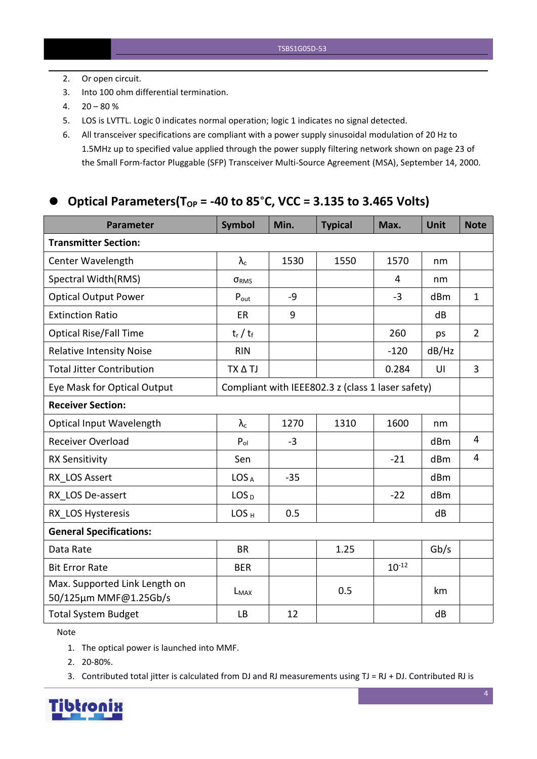- 2. Or open circuit.
- 3. Into 100 ohm differential termination.
- $4. \quad 20 80 \%$
- 5. LOS is LVTTL. Logic 0 indicates normal operation; logic 1 indicates no signal detected.
- 6. All transceiver specifications are compliant with a power supply sinusoidalmodulation of 20 Hz to 1.5MHz up to specified value applied through the powersupply filtering network shown on page 23 of the Small Form-factor Pluggable (SFP) Transceiver Multi-Source Agreement (MSA), September 14, 2000.

### **Optical Parameters(TOP = -40 to 85**°**C, VCC = 3.135 to 3.465 Volts)**

| <b>Parameter</b>                                                                 | <b>Symbol</b>     | Min.  | <b>Typical</b> | Max.       | <b>Unit</b> | <b>Note</b>    |
|----------------------------------------------------------------------------------|-------------------|-------|----------------|------------|-------------|----------------|
| <b>Transmitter Section:</b>                                                      |                   |       |                |            |             |                |
| Center Wavelength                                                                | $\lambda_{\rm c}$ | 1530  | 1550           | 1570       | nm          |                |
| Spectral Width(RMS)                                                              | ORMS              |       |                | 4          | nm          |                |
| <b>Optical Output Power</b>                                                      | $P_{\text{out}}$  | $-9$  |                | $-3$       | dBm         | $\mathbf{1}$   |
| <b>Extinction Ratio</b>                                                          | ER                | 9     |                |            | dB          |                |
| <b>Optical Rise/Fall Time</b>                                                    | $t_r / t_f$       |       |                | 260        | ps          | $\overline{2}$ |
| <b>Relative Intensity Noise</b>                                                  | <b>RIN</b>        |       |                | $-120$     | dB/Hz       |                |
| <b>Total Jitter Contribution</b>                                                 | TX A TJ           |       |                | 0.284      | U           | $\overline{3}$ |
| Compliant with IEEE802.3 z (class 1 laser safety)<br>Eye Mask for Optical Output |                   |       |                |            |             |                |
| <b>Receiver Section:</b>                                                         |                   |       |                |            |             |                |
| <b>Optical Input Wavelength</b>                                                  | $\lambda_{\rm c}$ | 1270  | 1310           | 1600       | nm          |                |
| <b>Receiver Overload</b>                                                         | $P_{ol}$          | $-3$  |                |            | dBm         | 4              |
| <b>RX Sensitivity</b>                                                            | Sen               |       |                | $-21$      | dBm         | $\overline{4}$ |
| RX LOS Assert                                                                    | LOS <sub>A</sub>  | $-35$ |                |            | dBm         |                |
| RX LOS De-assert                                                                 | LOS <sub>D</sub>  |       |                | $-22$      | dBm         |                |
| RX LOS Hysteresis                                                                | LOS <sub>H</sub>  | 0.5   |                |            | dB          |                |
| <b>General Specifications:</b>                                                   |                   |       |                |            |             |                |
| Data Rate                                                                        | <b>BR</b>         |       | 1.25           |            | Gb/s        |                |
| <b>Bit Error Rate</b>                                                            | <b>BER</b>        |       |                | $10^{-12}$ |             |                |
| Max. Supported Link Length on<br>50/125µm MMF@1.25Gb/s                           | $L_{MAX}$         |       | 0.5            |            | km          |                |
| <b>Total System Budget</b>                                                       | <b>LB</b>         | 12    |                |            | dB          |                |

Note

- 1. The optical power is launched into MMF.
- 2. 20-80%.
- 3. Contributed total jitter is calculated from DJ and RJ measurements using TJ = RJ + DJ. Contributed RJ is

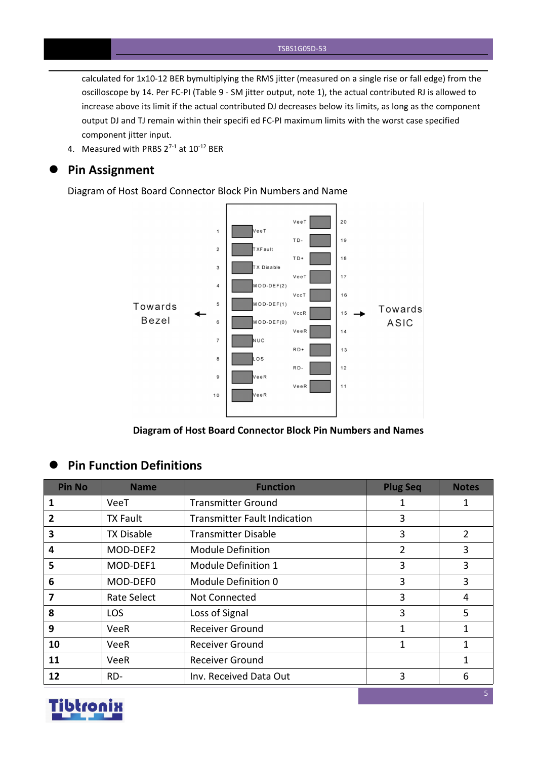calculated for 1x10-12 BER bymultiplying the RMS jitter (measured on a single rise or fall edge) from the oscilloscope by 14. Per FC-PI (Table 9 - SM jitter output, note 1), the actual contributed RJ is allowed to increase above its limit if the actual contributed DJ decreases below its limits, as long as the component output DJ and TJ remain within their specifi ed FC-PI maximum limits with the worst case specified component jitter input.

4. Measured with PRBS  $2^{7-1}$  at  $10^{-12}$  BER

#### **Pin Assignment**

Diagram of Host Board Connector Block Pin Numbers and Name



**Diagram of Host Board Connector Block Pin Numbers and Names**

#### **Pin Function Definitions**

| <b>Pin No</b> | <b>Name</b>       | <b>Function</b>                     | <b>Plug Seq</b> | <b>Notes</b>   |
|---------------|-------------------|-------------------------------------|-----------------|----------------|
| 1             | VeeT              | <b>Transmitter Ground</b>           | 1               | 1              |
| 2             | <b>TX Fault</b>   | <b>Transmitter Fault Indication</b> | 3               |                |
| 3             | <b>TX Disable</b> | <b>Transmitter Disable</b>          | 3               | $\overline{2}$ |
| 4             | MOD-DEF2          | <b>Module Definition</b>            | 2               | 3              |
| 5             | MOD-DEF1          | Module Definition 1                 | 3               | 3              |
| 6             | MOD-DEF0          | Module Definition 0                 | 3               | 3              |
| 7             | Rate Select       | Not Connected                       | 3               | 4              |
| 8             | <b>LOS</b>        | Loss of Signal                      | 3               | 5              |
| 9             | VeeR              | <b>Receiver Ground</b>              | 1               |                |
| 10            | VeeR              | <b>Receiver Ground</b>              | 1               | 1              |
| 11            | <b>VeeR</b>       | <b>Receiver Ground</b>              |                 | 1              |
| 12            | RD-               | Inv. Received Data Out              | 3               | 6              |

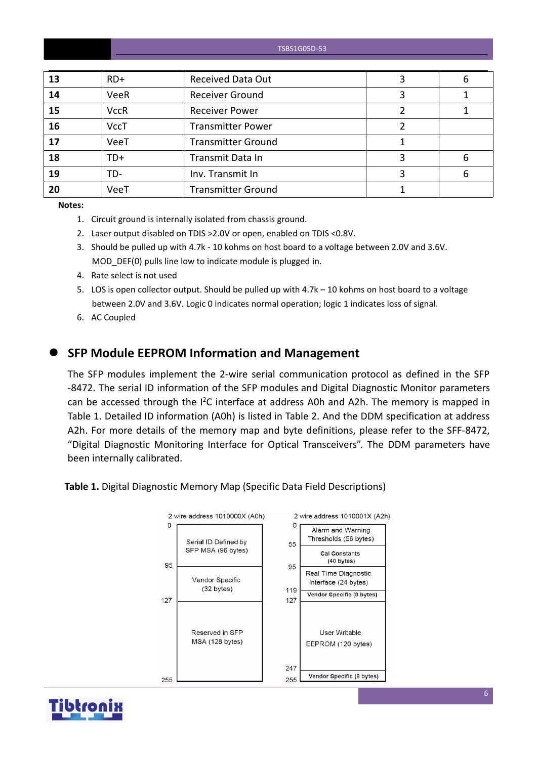#### TSBS1G05D-53

| 13 | $RD+$       | <b>Received Data Out</b>  | 6 |
|----|-------------|---------------------------|---|
| 14 | <b>VeeR</b> | <b>Receiver Ground</b>    |   |
| 15 | <b>VccR</b> | <b>Receiver Power</b>     |   |
| 16 | <b>VccT</b> | <b>Transmitter Power</b>  |   |
| 17 | VeeT        | <b>Transmitter Ground</b> |   |
| 18 | TD+         | Transmit Data In          | 6 |
| 19 | TD-         | Inv. Transmit In          | 6 |
| 20 | VeeT        | <b>Transmitter Ground</b> |   |

**Notes:**

- 1. Circuit ground is internally isolated from chassis ground.
- 2. Laser output disabled on TDIS >2.0V or open, enabled on TDIS <0.8V.
- 3. Should be pulled up with 4.7k 10 kohms on host board to a voltage between 2.0V and 3.6V. MOD DEF(0) pulls line low to indicate module is plugged in.
- 4. Rate select is not used
- 5. LOS is open collector output. Should be pulled up with 4.7k 10 kohms on host board to a voltage between 2.0V and 3.6V. Logic 0 indicates normal operation; logic 1 indicates loss of signal.
- 6. AC Coupled

#### **SFP Module EEPROM Information and Management**

The SFP modules implement the 2-wire serial communication protocol as defined in the SFP -8472. The serial ID information of the SFP modules and Digital Diagnostic Monitor parameters can be accessed through the  $I^2C$  interface at address A0h and A2h. The memory is mapped in Table 1. Detailed ID information (A0h) is listed in Table 2. And the DDM specification at address A2h. For more details of the memory map and byte definitions, please refer to the SFF-8472, "Digital Diagnostic Monitoring Interface for Optical Transceivers". The DDM parameters have been internally calibrated.

**Table 1.** Digital Diagnostic Memory Map (Specific Data Field Descriptions)



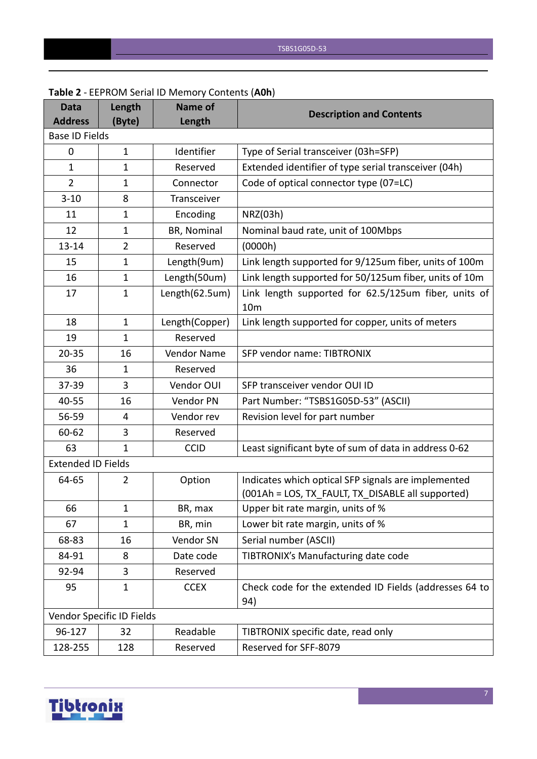| <b>Data</b><br><b>Address</b> | Length<br>(Byte)          | <b>Name of</b><br>Length | <b>Description and Contents</b>                                         |
|-------------------------------|---------------------------|--------------------------|-------------------------------------------------------------------------|
| <b>Base ID Fields</b>         |                           |                          |                                                                         |
| 0                             | $\mathbf{1}$              | Identifier               | Type of Serial transceiver (03h=SFP)                                    |
| $\mathbf{1}$                  | $\mathbf{1}$              | Reserved                 | Extended identifier of type serial transceiver (04h)                    |
| $\overline{2}$                | $\mathbf{1}$              | Connector                | Code of optical connector type (07=LC)                                  |
| $3 - 10$                      | 8                         | Transceiver              |                                                                         |
| 11                            | $\mathbf{1}$              | Encoding                 | NRZ(03h)                                                                |
| 12                            | $\mathbf{1}$              | BR, Nominal              | Nominal baud rate, unit of 100Mbps                                      |
| $13 - 14$                     | $\overline{2}$            | Reserved                 | (0000h)                                                                 |
| 15                            | 1                         | Length(9um)              | Link length supported for 9/125um fiber, units of 100m                  |
| 16                            | $\mathbf{1}$              | Length(50um)             | Link length supported for 50/125um fiber, units of 10m                  |
| 17                            | $\mathbf{1}$              | Length(62.5um)           | Link length supported for 62.5/125um fiber, units of<br>10 <sub>m</sub> |
| 18                            | $\mathbf{1}$              | Length(Copper)           | Link length supported for copper, units of meters                       |
| 19                            | $\mathbf{1}$              | Reserved                 |                                                                         |
| $20 - 35$                     | 16                        | Vendor Name              | SFP vendor name: TIBTRONIX                                              |
| 36                            | 1                         | Reserved                 |                                                                         |
| 37-39                         | 3                         | Vendor OUI               | SFP transceiver vendor OUI ID                                           |
| 40-55                         | 16                        | Vendor PN                | Part Number: "TSBS1G05D-53" (ASCII)                                     |
| 56-59                         | 4                         | Vendor rev               | Revision level for part number                                          |
| 60-62                         | 3                         | Reserved                 |                                                                         |
| 63                            | $\mathbf{1}$              | <b>CCID</b>              | Least significant byte of sum of data in address 0-62                   |
| <b>Extended ID Fields</b>     |                           |                          |                                                                         |
| 64-65                         | $\overline{2}$            | Option                   | Indicates which optical SFP signals are implemented                     |
|                               |                           |                          | (001Ah = LOS, TX_FAULT, TX_DISABLE all supported)                       |
| 66                            | 1                         | BR, max                  | Upper bit rate margin, units of %                                       |
| 67                            | $\mathbf{1}$              | BR, min                  | Lower bit rate margin, units of %                                       |
| 68-83                         | 16                        | Vendor SN                | Serial number (ASCII)                                                   |
| 84-91                         | 8                         | Date code                | TIBTRONIX's Manufacturing date code                                     |
| 92-94                         | 3                         | Reserved                 |                                                                         |
| 95                            | $\mathbf{1}$              | <b>CCEX</b>              | Check code for the extended ID Fields (addresses 64 to<br>94)           |
|                               | Vendor Specific ID Fields |                          |                                                                         |
| 96-127                        | 32                        | Readable                 | TIBTRONIX specific date, read only                                      |
| 128-255                       | 128                       | Reserved                 | Reserved for SFF-8079                                                   |

#### **Table 2** - EEPROM Serial ID Memory Contents (**A0h**)

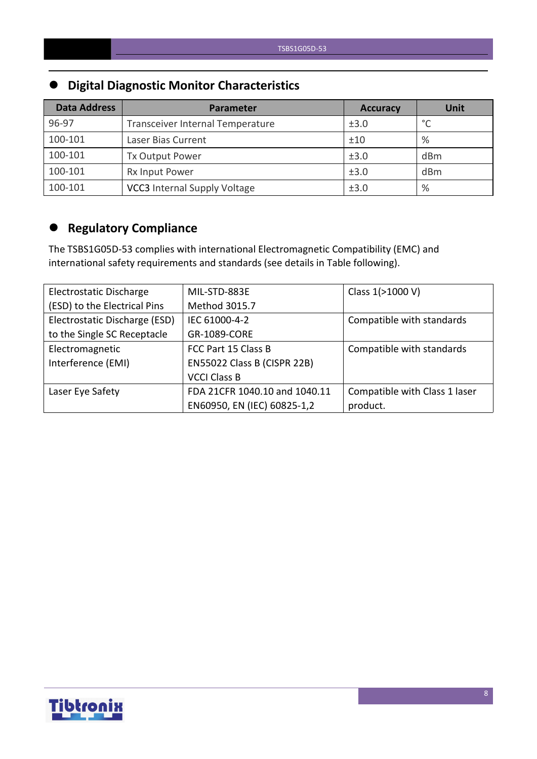# **Digital Diagnostic Monitor Characteristics**

| <b>Data Address</b> | <b>Parameter</b>                    | <b>Accuracy</b> | <b>Unit</b> |
|---------------------|-------------------------------------|-----------------|-------------|
| 96-97               | Transceiver Internal Temperature    | ±3.0            | $\circ$     |
| 100-101             | Laser Bias Current                  | ±10             | %           |
| 100-101             | Tx Output Power                     | ±3.0            | dBm         |
| 100-101             | Rx Input Power                      | ±3.0            | dBm         |
| 100-101             | <b>VCC3</b> Internal Supply Voltage | ±3.0            | %           |

# **Regulatory Compliance**

The TSBS1G05D-53 complies with international Electromagnetic Compatibility (EMC) and international safety requirements and standards (see details in Table following).

| Electrostatic Discharge       | MIL-STD-883E                  | Class 1(>1000 V)              |
|-------------------------------|-------------------------------|-------------------------------|
| (ESD) to the Electrical Pins  | Method 3015.7                 |                               |
| Electrostatic Discharge (ESD) | IEC 61000-4-2                 | Compatible with standards     |
| to the Single SC Receptacle   | GR-1089-CORE                  |                               |
| Electromagnetic               | FCC Part 15 Class B           | Compatible with standards     |
| Interference (EMI)            | EN55022 Class B (CISPR 22B)   |                               |
|                               | <b>VCCI Class B</b>           |                               |
| Laser Eye Safety              | FDA 21CFR 1040.10 and 1040.11 | Compatible with Class 1 laser |
|                               | EN60950, EN (IEC) 60825-1,2   | product.                      |

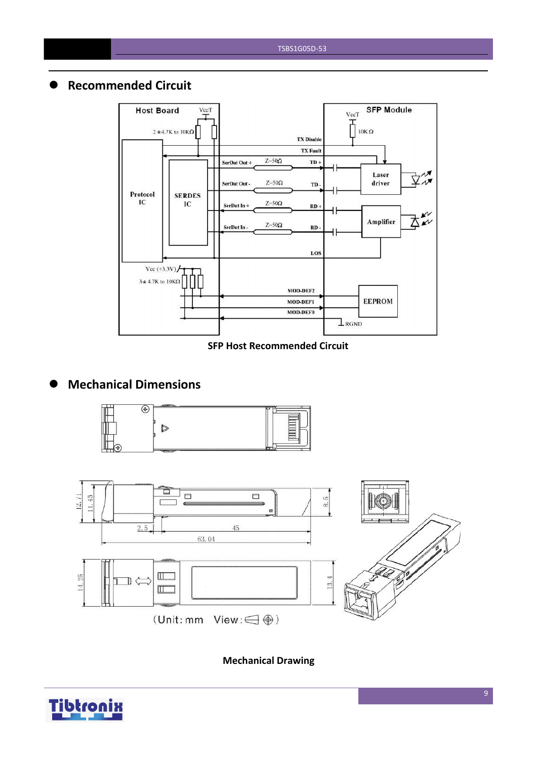#### **Recommended Circuit**



#### **SFP Host Recommended Circuit**

## **Mechanical Dimensions**





**Mechanical Drawing**